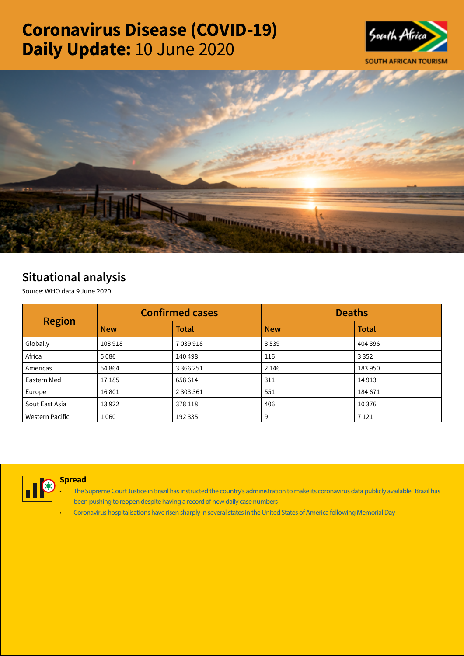# Coronavirus Disease (COVID-19) Daily Update: 10 June 2020





## Situational analysis

Source: WHO data 9 June 2020

| <b>Region</b>   |            | <b>Confirmed cases</b> | <b>Deaths</b> |              |  |
|-----------------|------------|------------------------|---------------|--------------|--|
|                 | <b>New</b> | <b>Total</b>           | <b>New</b>    | <b>Total</b> |  |
| Globally        | 108918     | 7 039 918              | 3539          | 404 396      |  |
| Africa          | 5086       | 140 498                | 116           | 3 3 5 2      |  |
| Americas        | 54 8 64    | 3 3 6 2 5 1            | 2 1 4 6       | 183 950      |  |
| Eastern Med     | 17185      | 658 614                | 311           | 14913        |  |
| Europe          | 16801      | 2 303 361              | 551           | 184 671      |  |
| Sout East Asia  | 13922      | 378 118                | 406           | 10 3 76      |  |
| Western Pacific | 1060       | 192 335                | 9             | 7 1 2 1      |  |



**Spread** 

- The Supreme Court Justice in Brazil has instructed the country's administration to make its coronavirus data publicly available. Brazil has [been pushing to reopen despite having a record of new daily case numbers](https://t.co/iXKnx4jy7H?amp=1)
- [Coronavirus hospitalisations have risen sharply in several states in the United States of America following Memorial Day](https://t.co/9kSb63g8OI?amp=1)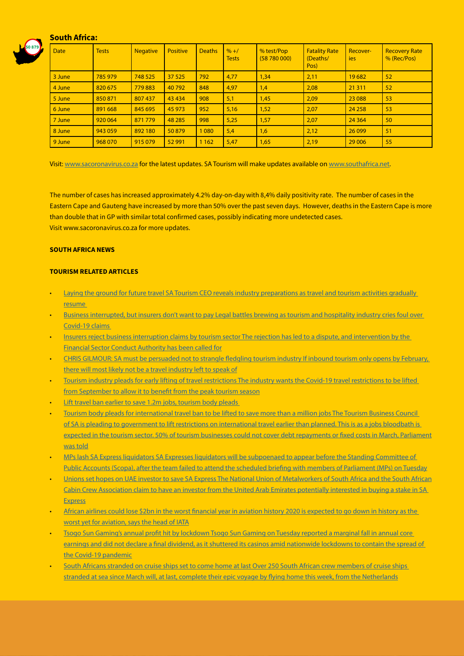### South Africa:



| <b>Date</b> | <b>Tests</b> | <b>Negative</b> | <b>Positive</b> | <b>Deaths</b> | $% + /$<br><b>Tests</b> | % test/Pop<br>(58780000) | <b>Fatality Rate</b><br>(Deaths/<br>Pos) | Recover-<br><b>ies</b> | <b>Recovery Rate</b><br>% (Rec/Pos) |
|-------------|--------------|-----------------|-----------------|---------------|-------------------------|--------------------------|------------------------------------------|------------------------|-------------------------------------|
| 3 June      | 785 979      | 748 525         | 37 5 25         | 792           | 4,77                    | 1,34                     | 2,11                                     | 19682                  | 52                                  |
| 4 June      | 820 675      | 779883          | 40792           | 848           | 4,97                    | 1,4                      | 2,08                                     | 21 3 11                | 52                                  |
| 5 June      | 850 871      | 807 437         | 43 4 34         | 908           | 5,1                     | 1,45                     | 2,09                                     | 23 088                 | 53                                  |
| 6 June      | 891 668      | 845 695         | 45 973          | 952           | 5,16                    | 1,52                     | 2,07                                     | 24 25 8                | 53                                  |
| 7 June      | 920 064      | 871 779         | 48 285          | 998           | 5,25                    | 1,57                     | 2,07                                     | 24 3 64                | 50                                  |
| 8 June      | 943 059      | 892 180         | 50879           | 1 0 8 0       | 5,4                     | 1,6                      | 2,12                                     | 26 0 99                | 51                                  |
| 9 June      | 968 070      | 915 079         | 52 991          | 1 1 6 2       | 5,47                    | 1,65                     | 2,19                                     | 29 006                 | 55                                  |

Visit: [www.sacoronavirus.co.za](http://www.sacoronavirus.co.za) for the latest updates. SA Tourism will make updates available on [www.southafrica.net.](http://www.southafrica.net)

The number of cases has increased approximately 4.2% day-on-day with 8,4% daily positivity rate. The number of cases in the Eastern Cape and Gauteng have increased by more than 50% over the past seven days. However, deaths in the Eastern Cape is more than double that in GP with similar total confirmed cases, possibly indicating more undetected cases. Visit www.sacoronavirus.co.za for more updates.

#### SOUTH AFRICA NEWS

#### TOURISM RELATED ARTICLES

- Laying the ground for future travel SA Tourism CEO reveals industry preparations as travel and tourism activities gradually [resume](https://www.moneyweb.co.za/moneyweb-opinion/soapbox/laying-the-ground-for-future-travel/)
- [Business interrupted, but insurers don't want to pay Legal battles brewing as tourism and hospitality industry cries foul over](https://www.moneyweb.co.za/news/south-africa/business-interrupted-but-insurers-dont-want-to-pay/)  [Covid-19 claims](https://www.moneyweb.co.za/news/south-africa/business-interrupted-but-insurers-dont-want-to-pay/)
- Insurers reject business interruption claims by tourism sector The rejection has led to a dispute, and intervention by the [Financial Sector Conduct Authority has been called for](https://www.businesslive.co.za/bd/national/2020-06-09-insurers-reject-business-interruption-claims-by-tourism-sector/)
- [CHRIS GILMOUR: SA must be persuaded not to strangle fledgling tourism industry If inbound tourism only opens by February,](https://www.businesslive.co.za/bd/opinion/columnists/2020-06-09-chris-gilmour-sa-must-be-persuaded-not-to-strangle-fledgling-tourism-industry/)  [there will most likely not be a travel industry left to speak of](https://www.businesslive.co.za/bd/opinion/columnists/2020-06-09-chris-gilmour-sa-must-be-persuaded-not-to-strangle-fledgling-tourism-industry/)
- [Tourism industry pleads for early lifting of travel restrictions The industry wants the Covid-19 travel restrictions to be lifted](https://www.news24.com/news24/SouthAfrica/News/tourism-body-pleads-for-international-travel-ban-to-be-lifted-to-save-more-than-a-million-jobs-20200609)  [from September to allow it to benefit from the peak tourism season](https://www.news24.com/news24/SouthAfrica/News/tourism-body-pleads-for-international-travel-ban-to-be-lifted-to-save-more-than-a-million-jobs-20200609)
- [Lift travel ban earlier to save 1.2m jobs, tourism body pleads](https://citizen.co.za/business/business-news/2299684/lift-travel-ban-earlier-to-save-1-2m-jobs-tourism-body-pleads/)
- [Tourism body pleads for international travel ban to be lifted to save more than a million jobs The Tourism Business Council](https://www.news24.com/news24/SouthAfrica/News/tourism-body-pleads-for-international-travel-ban-to-be-lifted-to-save-more-than-a-million-jobs-20200609)  [of SA is pleading to government to lift restrictions on international travel earlier than planned. This is as a jobs bloodbath is](https://www.news24.com/news24/SouthAfrica/News/tourism-body-pleads-for-international-travel-ban-to-be-lifted-to-save-more-than-a-million-jobs-20200609)  [expected in the tourism sector. 50% of tourism businesses could not cover debt repayments or fixed costs in March, Parliament](https://www.news24.com/news24/SouthAfrica/News/tourism-body-pleads-for-international-travel-ban-to-be-lifted-to-save-more-than-a-million-jobs-20200609) [was told](https://www.news24.com/news24/SouthAfrica/News/tourism-body-pleads-for-international-travel-ban-to-be-lifted-to-save-more-than-a-million-jobs-20200609)
- [MPs lash SA Express liquidators SA Expresses liquidators will be subpoenaed to appear before the Standing Committee of](https://www.moneyweb.co.za/news/companies-and-deals/mps-lash-sa-express-liquidators/)  [Public Accounts \(Scopa\), after the team failed to attend the scheduled briefing with members of Parliament \(MPs\) on Tuesday](https://www.moneyweb.co.za/news/companies-and-deals/mps-lash-sa-express-liquidators/)
- [Unions set hopes on UAE investor to save SA Express The National Union of Metalworkers of South Africa and the South African](https://www.news24.com/fin24/companies/industrial/unions-set-hopes-on-uae-investor-to-save-sa-express-20200609) [Cabin Crew Association claim to have an investor from the United Arab Emirates potentially interested in buying a stake in SA](https://www.news24.com/fin24/companies/industrial/unions-set-hopes-on-uae-investor-to-save-sa-express-20200609)  [Express](https://www.news24.com/fin24/companies/industrial/unions-set-hopes-on-uae-investor-to-save-sa-express-20200609)
- [African airlines could lose \\$2bn in the worst financial year in aviation history 2020 is expected to go down in history as the](https://www.news24.com/fin24/companies/industrial/african-airlines-could-lose-2bn-in-the-worst-financial-year-in-aviation-history-20200609)  [worst yet for aviation, says the head of IATA](https://www.news24.com/fin24/companies/industrial/african-airlines-could-lose-2bn-in-the-worst-financial-year-in-aviation-history-20200609)
- [Tsogo Sun Gaming's annual profit hit by lockdown Tsogo Sun Gaming on Tuesday reported a marginal fall in annual core](https://www.moneyweb.co.za/news/companies-and-deals/tsogo-sun-gamings-annual-profit-hit-by-lockdown/)  [earnings and did not declare a final dividend, as it shuttered its casinos amid nationwide lockdowns to contain the spread of](https://www.moneyweb.co.za/news/companies-and-deals/tsogo-sun-gamings-annual-profit-hit-by-lockdown/)  [the Covid-19 pandemic](https://www.moneyweb.co.za/news/companies-and-deals/tsogo-sun-gamings-annual-profit-hit-by-lockdown/)
- South Africans stranded on cruise ships set to come home at last Over 250 South African crew members of cruise ships [stranded at sea since March will, at last, complete their epic voyage by flying home this week, from the Netherlands](https://www.dailymaverick.co.za/article/2020-06-09-south-africans-stranded-on-cruise-ships-set-to-come-home-at-last/#gsc.tab=0)